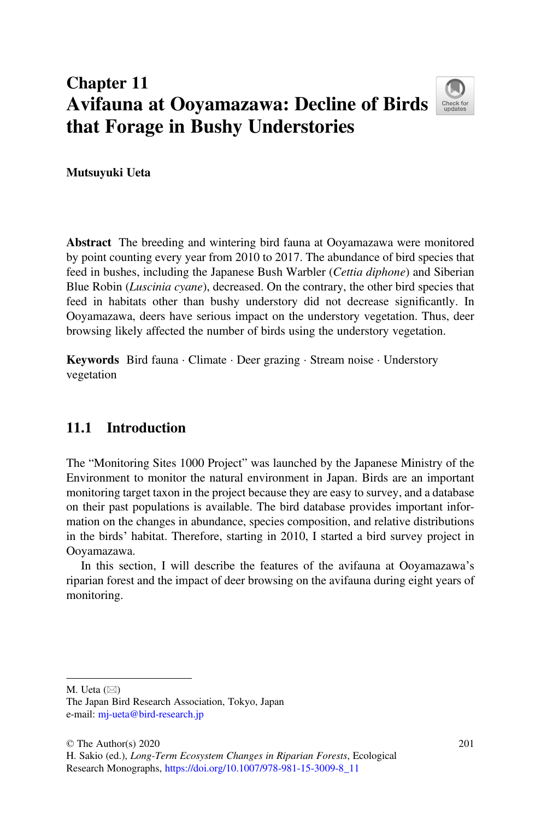# Chapter 11 Avifauna at Ooyamazawa: Decline of Birds that Forage in Bushy Understories



Mutsuyuki Ueta

Abstract The breeding and wintering bird fauna at Ooyamazawa were monitored by point counting every year from 2010 to 2017. The abundance of bird species that feed in bushes, including the Japanese Bush Warbler (Cettia diphone) and Siberian Blue Robin (Luscinia cyane), decreased. On the contrary, the other bird species that feed in habitats other than bushy understory did not decrease significantly. In Ooyamazawa, deers have serious impact on the understory vegetation. Thus, deer browsing likely affected the number of birds using the understory vegetation.

Keywords Bird fauna · Climate · Deer grazing · Stream noise · Understory vegetation

# 11.1 Introduction

The "Monitoring Sites 1000 Project" was launched by the Japanese Ministry of the Environment to monitor the natural environment in Japan. Birds are an important monitoring target taxon in the project because they are easy to survey, and a database on their past populations is available. The bird database provides important information on the changes in abundance, species composition, and relative distributions in the birds' habitat. Therefore, starting in 2010, I started a bird survey project in Ooyamazawa.

In this section, I will describe the features of the avifauna at Ooyamazawa's riparian forest and the impact of deer browsing on the avifauna during eight years of monitoring.

M. Ueta  $(\boxtimes)$ 

The Japan Bird Research Association, Tokyo, Japan e-mail: [mj-ueta@bird-research.jp](mailto:mj-ueta@bird-research.jp)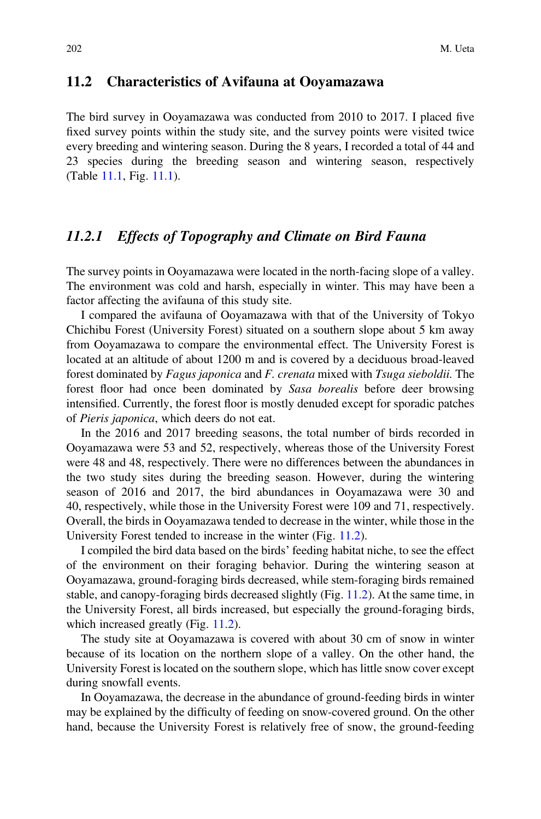#### 11.2 Characteristics of Avifauna at Ooyamazawa

The bird survey in Ooyamazawa was conducted from 2010 to 2017. I placed five fixed survey points within the study site, and the survey points were visited twice every breeding and wintering season. During the 8 years, I recorded a total of 44 and 23 species during the breeding season and wintering season, respectively (Table [11.1,](#page-2-0) Fig. [11.1](#page-4-0)).

## 11.2.1 Effects of Topography and Climate on Bird Fauna

The survey points in Ooyamazawa were located in the north-facing slope of a valley. The environment was cold and harsh, especially in winter. This may have been a factor affecting the avifauna of this study site.

I compared the avifauna of Ooyamazawa with that of the University of Tokyo Chichibu Forest (University Forest) situated on a southern slope about 5 km away from Ooyamazawa to compare the environmental effect. The University Forest is located at an altitude of about 1200 m and is covered by a deciduous broad-leaved forest dominated by Fagus japonica and F. crenata mixed with Tsuga sieboldii. The forest floor had once been dominated by Sasa borealis before deer browsing intensified. Currently, the forest floor is mostly denuded except for sporadic patches of Pieris japonica, which deers do not eat.

In the 2016 and 2017 breeding seasons, the total number of birds recorded in Ooyamazawa were 53 and 52, respectively, whereas those of the University Forest were 48 and 48, respectively. There were no differences between the abundances in the two study sites during the breeding season. However, during the wintering season of 2016 and 2017, the bird abundances in Ooyamazawa were 30 and 40, respectively, while those in the University Forest were 109 and 71, respectively. Overall, the birds in Ooyamazawa tended to decrease in the winter, while those in the University Forest tended to increase in the winter (Fig. [11.2\)](#page-5-0).

I compiled the bird data based on the birds' feeding habitat niche, to see the effect of the environment on their foraging behavior. During the wintering season at Ooyamazawa, ground-foraging birds decreased, while stem-foraging birds remained stable, and canopy-foraging birds decreased slightly (Fig. [11.2\)](#page-5-0). At the same time, in the University Forest, all birds increased, but especially the ground-foraging birds, which increased greatly (Fig. [11.2](#page-5-0)).

The study site at Ooyamazawa is covered with about 30 cm of snow in winter because of its location on the northern slope of a valley. On the other hand, the University Forest is located on the southern slope, which has little snow cover except during snowfall events.

In Ooyamazawa, the decrease in the abundance of ground-feeding birds in winter may be explained by the difficulty of feeding on snow-covered ground. On the other hand, because the University Forest is relatively free of snow, the ground-feeding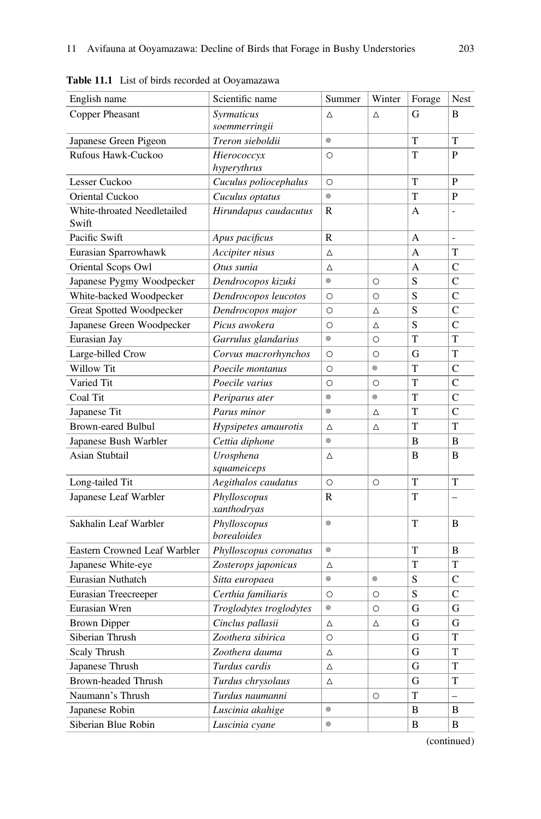| English name                         | Scientific name         | Summer        | Winter     | Forage         | Nest          |
|--------------------------------------|-------------------------|---------------|------------|----------------|---------------|
| Copper Pheasant                      | Syrmaticus              | Δ             | Δ          | G              | B             |
|                                      | soemmerringii           |               |            |                |               |
| Japanese Green Pigeon                | Treron sieboldii        | $^{\circ}$    |            | T              | T             |
| Rufous Hawk-Cuckoo                   | Hierococcyx             | $\circ$       |            | T              | P             |
|                                      | hyperythrus             |               |            |                |               |
| Lesser Cuckoo                        | Cuculus poliocephalus   | $\circ$       |            | T              | $\mathbf{P}$  |
| Oriental Cuckoo                      | Cuculus optatus         | $^{\circ}$    |            | T              | P             |
| White-throated Needletailed<br>Swift | Hirundapus caudacutus   | R             |            | A              |               |
| Pacific Swift                        | Apus pacificus          | $\mathbb{R}$  |            | $\overline{A}$ | L.            |
| Eurasian Sparrowhawk                 | Accipiter nisus         | Δ             |            | A              | T             |
| Oriental Scops Owl                   | Otus sunia              | Δ             |            | A              | $\mathsf{C}$  |
| Japanese Pygmy Woodpecker            | Dendrocopos kizuki      | $^{\circ}$    | $\circ$    | S              | C             |
| White-backed Woodpecker              | Dendrocopos leucotos    | $\circ$       | $\circ$    | S              | $\mathcal{C}$ |
| Great Spotted Woodpecker             | Dendrocopos major       | $\circ$       | Δ          | S              | $\mathcal{C}$ |
| Japanese Green Woodpecker            | Picus awokera           | $\circ$       | Δ          | S              | $\mathsf{C}$  |
| Eurasian Jay                         | Garrulus glandarius     | $^{\circ}$    | $\circ$    | T              | T             |
| Large-billed Crow                    | Corvus macrorhynchos    | $\circ$       | $\circ$    | G              | T             |
| Willow Tit                           | Poecile montanus        | $\circ$       | $^{\circ}$ | T              | $\mathcal{C}$ |
| Varied Tit                           | Poecile varius          | $\circ$       | $\circ$    | T              | $\mathcal{C}$ |
| Coal Tit                             | Periparus ater          | $^{\circ}$    | $^{\circ}$ | T              | $\mathsf{C}$  |
| Japanese Tit                         | Parus minor             | $^{\circ}$    | Δ          | T              | $\mathsf{C}$  |
| <b>Brown-eared Bulbul</b>            | Hypsipetes amaurotis    | Δ             | Δ          | T              | T             |
| Japanese Bush Warbler                | Cettia diphone          | $^{\circ}$    |            | B              | B             |
| Asian Stubtail                       | Urosphena               | Δ             |            | B              | B             |
|                                      | squameiceps             |               |            |                |               |
| Long-tailed Tit                      | Aegithalos caudatus     | $\circ$       | $\circ$    | T              | T             |
| Japanese Leaf Warbler                | Phylloscopus            | $\mathbb{R}$  |            | T              |               |
|                                      | xanthodryas             |               |            |                |               |
| Sakhalin Leaf Warbler                | Phylloscopus            | $^{\circ}$    |            | T              | B             |
|                                      | borealoides             |               |            |                |               |
| Eastern Crowned Leaf Warbler         | Phylloscopus coronatus  | $^{\circ}$    |            | T              | B             |
| Japanese White-eye                   | Zosterops japonicus     | Δ             |            | T              | T             |
| Eurasian Nuthatch                    | Sitta europaea          | $^{\circ}$    | $^{\circ}$ | S              | $\mathsf{C}$  |
| Eurasian Treecreeper                 | Certhia familiaris      | $\circ$       | $\circ$    | S              | $\mathsf{C}$  |
| Eurasian Wren                        | Troglodytes troglodytes | $^{\circ}$    | $\circ$    | G              | G             |
| <b>Brown Dipper</b>                  | Cinclus pallasii        | Δ             | Δ          | G              | G             |
| Siberian Thrush                      | Zoothera sibirica       | $\circ$       |            | G              | T             |
| Scaly Thrush                         | Zoothera dauma          | Δ             |            | G              | T             |
| Japanese Thrush                      | Turdus cardis           | Δ             |            | G              | T             |
| Brown-headed Thrush                  | Turdus chrysolaus       | Δ             |            | G              | T             |
| Naumann's Thrush                     | Turdus naumanni         |               | O          | T              | $\equiv$      |
| Japanese Robin                       | Luscinia akahige        | $^\copyright$ |            | B              | B             |
| Siberian Blue Robin                  | Luscinia cyane          | $^{\circ}$    |            | B              | B             |

<span id="page-2-0"></span>Table 11.1 List of birds recorded at Ooyamazawa

(continued)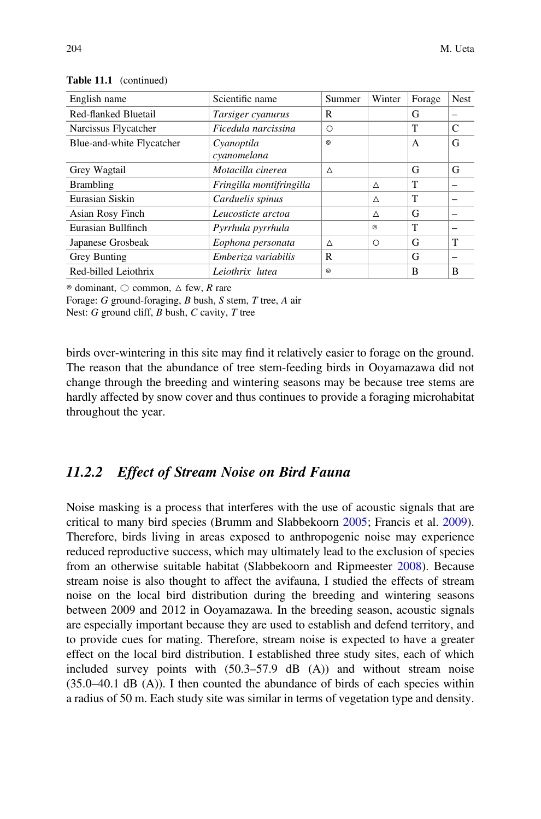| English name              | Scientific name          | Summer     | Winter     | Forage       | <b>Nest</b> |
|---------------------------|--------------------------|------------|------------|--------------|-------------|
| Red-flanked Bluetail      | Tarsiger cyanurus        | R          |            | G            |             |
| Narcissus Flycatcher      | Ficedula narcissina      | O          |            | T            | C           |
| Blue-and-white Flycatcher | Cyanoptila               | $^{\circ}$ |            | A            | G           |
|                           | cyanomelana              |            |            |              |             |
| Grey Wagtail              | Motacilla cinerea        | Δ          |            | G            | G           |
| <b>Brambling</b>          | Fringilla montifringilla |            | Δ          | T            |             |
| Eurasian Siskin           | Carduelis spinus         |            | Δ          | T            |             |
| Asian Rosy Finch          | Leucosticte arctoa       |            | Δ          | G            |             |
| Eurasian Bullfinch        | Pyrrhula pyrrhula        |            | $^{\circ}$ | $\mathsf{T}$ |             |
| Japanese Grosbeak         | Eophona personata        | Δ          | $\circ$    | G            | т           |
| Grey Bunting              | Emberiza variabilis      | R          |            | G            |             |
| Red-billed Leiothrix      | Leiothrix lutea          | $^{\circ}$ |            | B            | B           |

Table 11.1 (continued)

 $\circ$  dominant,  $\circ$  common,  $\wedge$  few, R rare

Forage: G ground-foraging, B bush, S stem, T tree, A air

Nest:  $G$  ground cliff,  $B$  bush,  $C$  cavity,  $T$  tree

birds over-wintering in this site may find it relatively easier to forage on the ground. The reason that the abundance of tree stem-feeding birds in Ooyamazawa did not change through the breeding and wintering seasons may be because tree stems are hardly affected by snow cover and thus continues to provide a foraging microhabitat throughout the year.

# 11.2.2 Effect of Stream Noise on Bird Fauna

Noise masking is a process that interferes with the use of acoustic signals that are critical to many bird species (Brumm and Slabbekoorn [2005;](#page-10-0) Francis et al. [2009\)](#page-10-1). Therefore, birds living in areas exposed to anthropogenic noise may experience reduced reproductive success, which may ultimately lead to the exclusion of species from an otherwise suitable habitat (Slabbekoorn and Ripmeester [2008\)](#page-10-2). Because stream noise is also thought to affect the avifauna, I studied the effects of stream noise on the local bird distribution during the breeding and wintering seasons between 2009 and 2012 in Ooyamazawa. In the breeding season, acoustic signals are especially important because they are used to establish and defend territory, and to provide cues for mating. Therefore, stream noise is expected to have a greater effect on the local bird distribution. I established three study sites, each of which included survey points with (50.3–57.9 dB (A)) and without stream noise  $(35.0-40.1$  dB  $(A))$ . I then counted the abundance of birds of each species within a radius of 50 m. Each study site was similar in terms of vegetation type and density.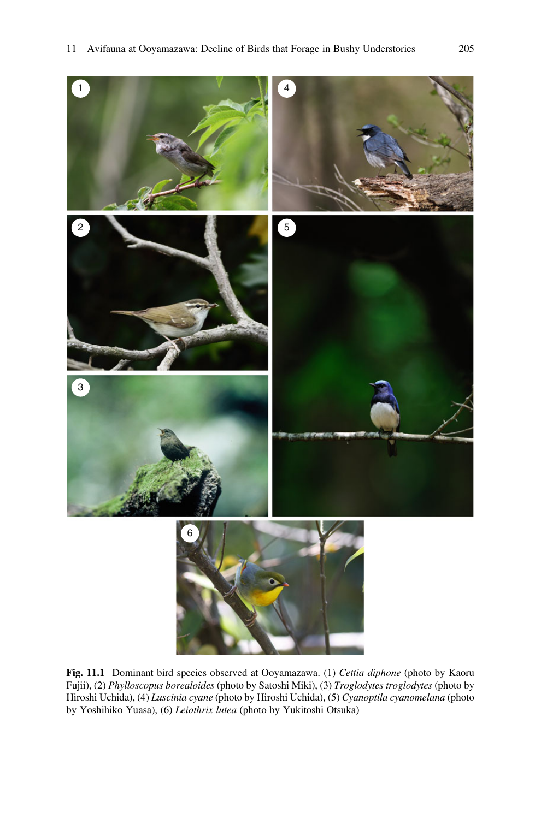<span id="page-4-0"></span>

Fig. 11.1 Dominant bird species observed at Ooyamazawa. (1) Cettia diphone (photo by Kaoru Fujii), (2) Phylloscopus borealoides (photo by Satoshi Miki), (3) Troglodytes troglodytes (photo by Hiroshi Uchida), (4) Luscinia cyane (photo by Hiroshi Uchida), (5) Cyanoptila cyanomelana (photo by Yoshihiko Yuasa), (6) Leiothrix lutea (photo by Yukitoshi Otsuka)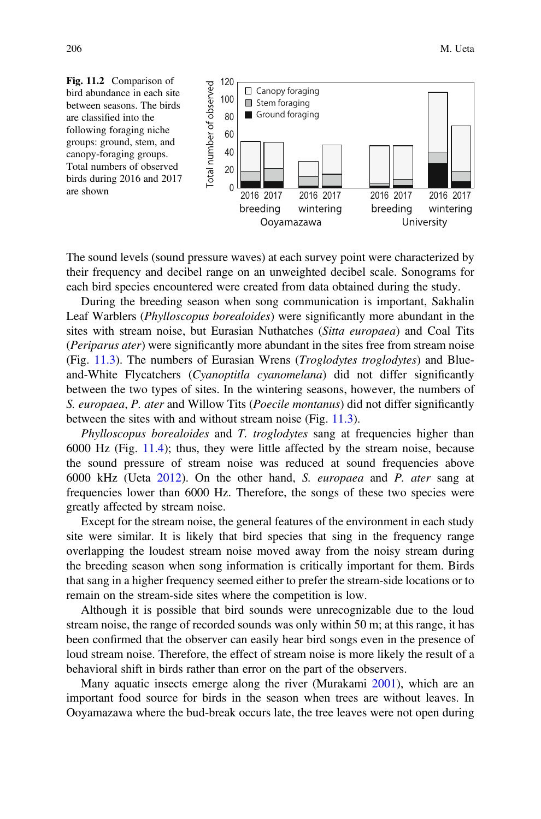<span id="page-5-0"></span>

The sound levels (sound pressure waves) at each survey point were characterized by their frequency and decibel range on an unweighted decibel scale. Sonograms for each bird species encountered were created from data obtained during the study.

During the breeding season when song communication is important, Sakhalin Leaf Warblers (Phylloscopus borealoides) were significantly more abundant in the sites with stream noise, but Eurasian Nuthatches (Sitta europaea) and Coal Tits (Periparus ater) were significantly more abundant in the sites free from stream noise (Fig. [11.3\)](#page-6-0). The numbers of Eurasian Wrens (Troglodytes troglodytes) and Blueand-White Flycatchers (Cyanoptitla cyanomelana) did not differ significantly between the two types of sites. In the wintering seasons, however, the numbers of S. europaea, P. ater and Willow Tits (Poecile montanus) did not differ significantly between the sites with and without stream noise (Fig. [11.3](#page-6-0)).

Phylloscopus borealoides and T. troglodytes sang at frequencies higher than 6000 Hz (Fig. [11.4](#page-6-1)); thus, they were little affected by the stream noise, because the sound pressure of stream noise was reduced at sound frequencies above 6000 kHz (Ueta [2012\)](#page-10-3). On the other hand, S. europaea and P. ater sang at frequencies lower than 6000 Hz. Therefore, the songs of these two species were greatly affected by stream noise.

Except for the stream noise, the general features of the environment in each study site were similar. It is likely that bird species that sing in the frequency range overlapping the loudest stream noise moved away from the noisy stream during the breeding season when song information is critically important for them. Birds that sang in a higher frequency seemed either to prefer the stream-side locations or to remain on the stream-side sites where the competition is low.

Although it is possible that bird sounds were unrecognizable due to the loud stream noise, the range of recorded sounds was only within 50 m; at this range, it has been confirmed that the observer can easily hear bird songs even in the presence of loud stream noise. Therefore, the effect of stream noise is more likely the result of a behavioral shift in birds rather than error on the part of the observers.

Many aquatic insects emerge along the river (Murakami [2001](#page-10-4)), which are an important food source for birds in the season when trees are without leaves. In Ooyamazawa where the bud-break occurs late, the tree leaves were not open during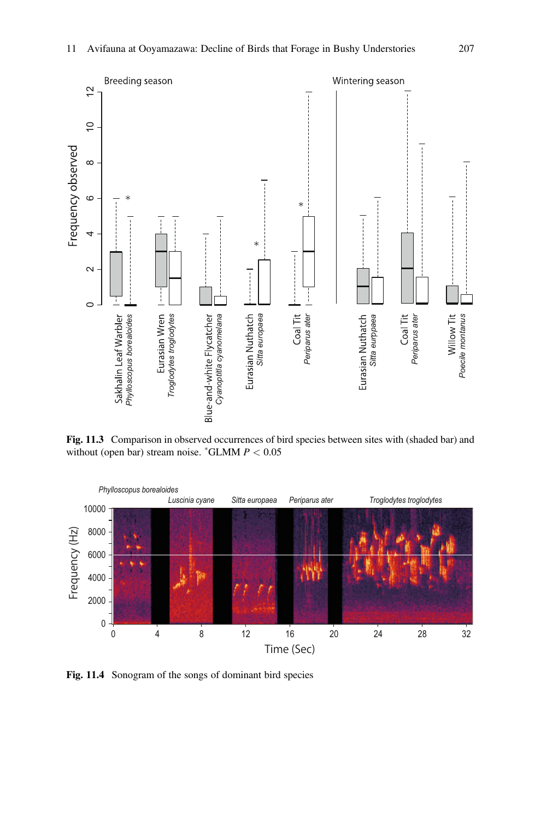<span id="page-6-0"></span>

Fig. 11.3 Comparison in observed occurrences of bird species between sites with (shaded bar) and without (open bar) stream noise.  $^*GLMM$   $P < 0.05$ 

<span id="page-6-1"></span>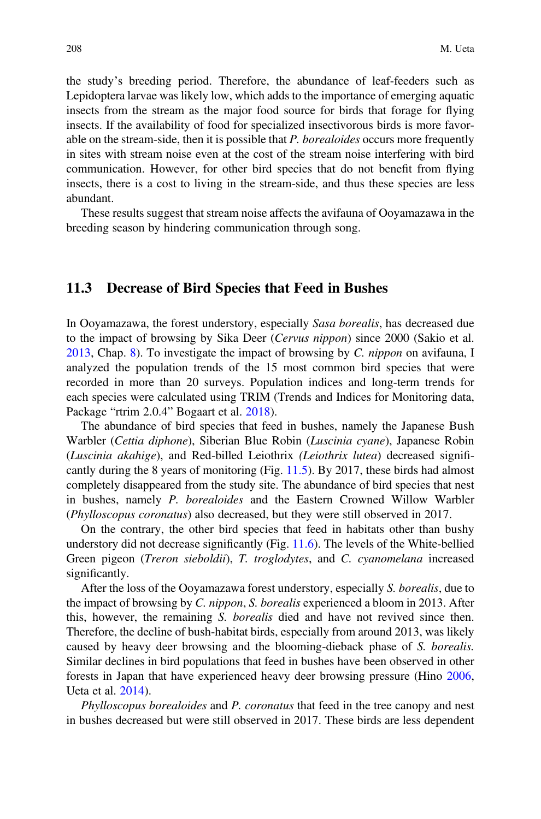the study's breeding period. Therefore, the abundance of leaf-feeders such as Lepidoptera larvae was likely low, which adds to the importance of emerging aquatic insects from the stream as the major food source for birds that forage for flying insects. If the availability of food for specialized insectivorous birds is more favorable on the stream-side, then it is possible that  $P$ . *borealoides* occurs more frequently in sites with stream noise even at the cost of the stream noise interfering with bird communication. However, for other bird species that do not benefit from flying insects, there is a cost to living in the stream-side, and thus these species are less abundant.

These results suggest that stream noise affects the avifauna of Ooyamazawa in the breeding season by hindering communication through song.

#### 11.3 Decrease of Bird Species that Feed in Bushes

In Ooyamazawa, the forest understory, especially Sasa borealis, has decreased due to the impact of browsing by Sika Deer (Cervus nippon) since 2000 (Sakio et al. [2013,](#page-10-5) Chap. [8\)](https://doi.org/10.1007/978-981-15-3009-8_8). To investigate the impact of browsing by C. nippon on avifauna, I analyzed the population trends of the 15 most common bird species that were recorded in more than 20 surveys. Population indices and long-term trends for each species were calculated using TRIM (Trends and Indices for Monitoring data, Package "rtrim 2.0.4" Bogaart et al. [2018\)](#page-10-6).

The abundance of bird species that feed in bushes, namely the Japanese Bush Warbler (Cettia diphone), Siberian Blue Robin (Luscinia cyane), Japanese Robin (Luscinia akahige), and Red-billed Leiothrix (Leiothrix lutea) decreased significantly during the 8 years of monitoring (Fig. [11.5](#page-8-0)). By 2017, these birds had almost completely disappeared from the study site. The abundance of bird species that nest in bushes, namely P. borealoides and the Eastern Crowned Willow Warbler (Phylloscopus coronatus) also decreased, but they were still observed in 2017.

On the contrary, the other bird species that feed in habitats other than bushy understory did not decrease significantly (Fig. [11.6](#page-9-0)). The levels of the White-bellied Green pigeon (Treron sieboldii), T. troglodytes, and C. cyanomelana increased significantly.

After the loss of the Ooyamazawa forest understory, especially S. borealis, due to the impact of browsing by C. nippon, S. borealis experienced a bloom in 2013. After this, however, the remaining S. borealis died and have not revived since then. Therefore, the decline of bush-habitat birds, especially from around 2013, was likely caused by heavy deer browsing and the blooming-dieback phase of S. borealis. Similar declines in bird populations that feed in bushes have been observed in other forests in Japan that have experienced heavy deer browsing pressure (Hino [2006](#page-10-7), Ueta et al. [2014](#page-10-8)).

Phylloscopus borealoides and P. coronatus that feed in the tree canopy and nest in bushes decreased but were still observed in 2017. These birds are less dependent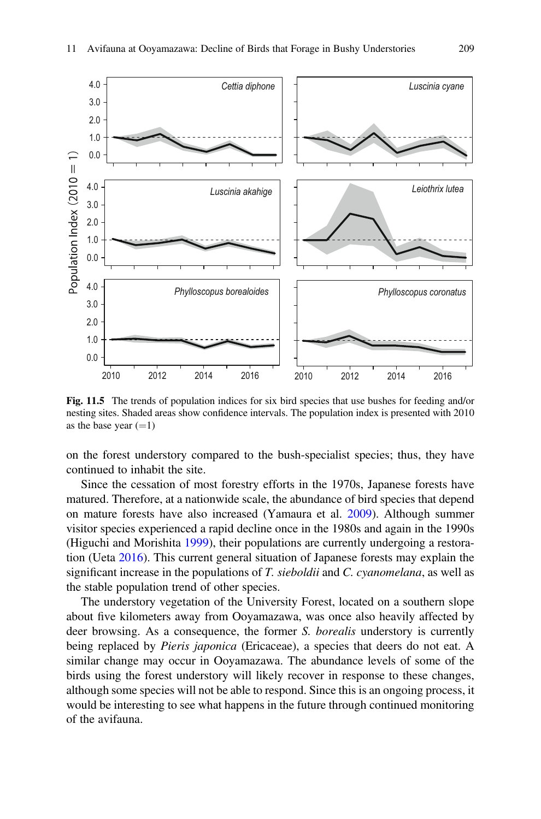<span id="page-8-0"></span>

Fig. 11.5 The trends of population indices for six bird species that use bushes for feeding and/or nesting sites. Shaded areas show confidence intervals. The population index is presented with 2010 as the base year  $(=1)$ 

on the forest understory compared to the bush-specialist species; thus, they have continued to inhabit the site.

Since the cessation of most forestry efforts in the 1970s, Japanese forests have matured. Therefore, at a nationwide scale, the abundance of bird species that depend on mature forests have also increased (Yamaura et al. [2009](#page-10-9)). Although summer visitor species experienced a rapid decline once in the 1980s and again in the 1990s (Higuchi and Morishita [1999\)](#page-10-10), their populations are currently undergoing a restoration (Ueta [2016](#page-10-11)). This current general situation of Japanese forests may explain the significant increase in the populations of  $T$ . sieboldii and  $C$ . cyanomelana, as well as the stable population trend of other species.

The understory vegetation of the University Forest, located on a southern slope about five kilometers away from Ooyamazawa, was once also heavily affected by deer browsing. As a consequence, the former S. borealis understory is currently being replaced by *Pieris japonica* (Ericaceae), a species that deers do not eat. A similar change may occur in Ooyamazawa. The abundance levels of some of the birds using the forest understory will likely recover in response to these changes, although some species will not be able to respond. Since this is an ongoing process, it would be interesting to see what happens in the future through continued monitoring of the avifauna.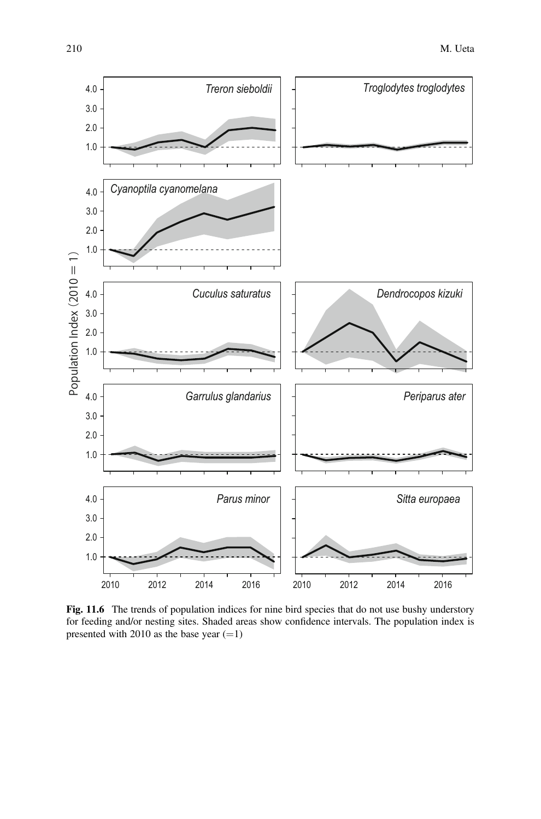<span id="page-9-0"></span>

Fig. 11.6 The trends of population indices for nine bird species that do not use bushy understory for feeding and/or nesting sites. Shaded areas show confidence intervals. The population index is presented with 2010 as the base year  $(=1)$